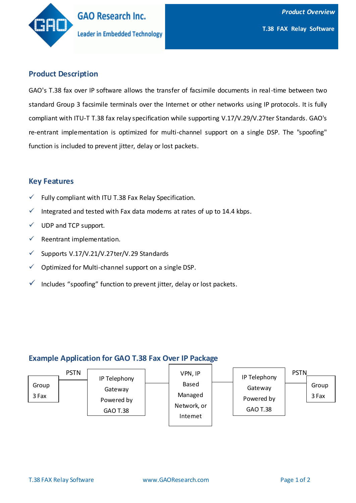

# **Product Description**

GAO's T.38 fax over IP software allows the transfer of facsimile documents in real-time between two standard Group 3 facsimile terminals over the Internet or other networks using IP protocols. It is fully compliant with ITU-T T.38 fax relay specification while supporting V.17/V.29/V.27ter Standards. GAO's re-entrant implementation is optimized for multi-channel support on a single DSP. The "spoofing" function is included to prevent jitter, delay or lost packets.

## **Key Features**

- $\checkmark$  Fully compliant with ITU T.38 Fax Relay Specification.
- $\checkmark$  Integrated and tested with Fax data modems at rates of up to 14.4 kbps.
- $\checkmark$  UDP and TCP support.
- $\checkmark$  Reentrant implementation.
- $\checkmark$  Supports V.17/V.21/V.27ter/V.29 Standards
- $\checkmark$  Optimized for Multi-channel support on a single DSP.
- $\checkmark$  Includes "spoofing" function to prevent jitter, delay or lost packets.

## **Example Application for GAO T.38 Fax Over IP Package**